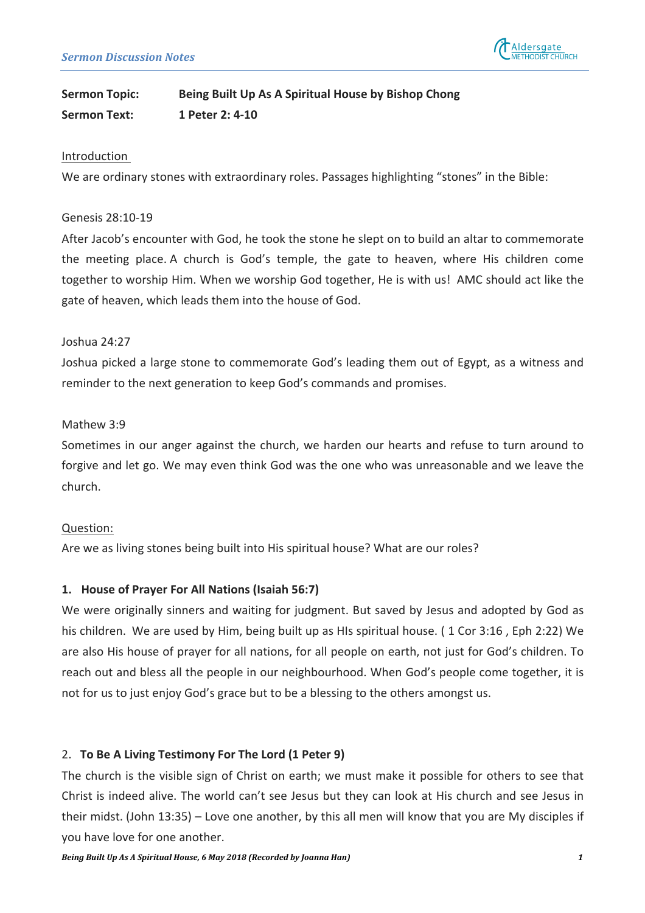

# **Sermon Topic: Being Built Up As A Spiritual House by Bishop Chong Sermon Text: 1** Peter 2: 4-10

#### Introduction

We are ordinary stones with extraordinary roles. Passages highlighting "stones" in the Bible:

#### Genesis 28:10-19

After Jacob's encounter with God, he took the stone he slept on to build an altar to commemorate the meeting place. A church is God's temple, the gate to heaven, where His children come together to worship Him. When we worship God together. He is with us! AMC should act like the gate of heaven, which leads them into the house of God.

#### $Josh<sub>11</sub>$  24:27

Joshua picked a large stone to commemorate God's leading them out of Egypt, as a witness and reminder to the next generation to keep God's commands and promises.

#### Mathew 3:9

Sometimes in our anger against the church, we harden our hearts and refuse to turn around to forgive and let go. We may even think God was the one who was unreasonable and we leave the church.

## Question:

Are we as living stones being built into His spiritual house? What are our roles?

## 1. House of Prayer For All Nations (Isaiah 56:7)

We were originally sinners and waiting for judgment. But saved by Jesus and adopted by God as his children. We are used by Him, being built up as HIs spiritual house. (1 Cor 3:16, Eph 2:22) We are also His house of prayer for all nations, for all people on earth, not just for God's children. To reach out and bless all the people in our neighbourhood. When God's people come together, it is not for us to just enjoy God's grace but to be a blessing to the others amongst us.

## 2. **To Be A Living Testimony For The Lord (1 Peter 9)**

The church is the visible sign of Christ on earth; we must make it possible for others to see that Christ is indeed alive. The world can't see Jesus but they can look at His church and see Jesus in their midst. (John 13:35) – Love one another, by this all men will know that you are My disciples if you have love for one another.